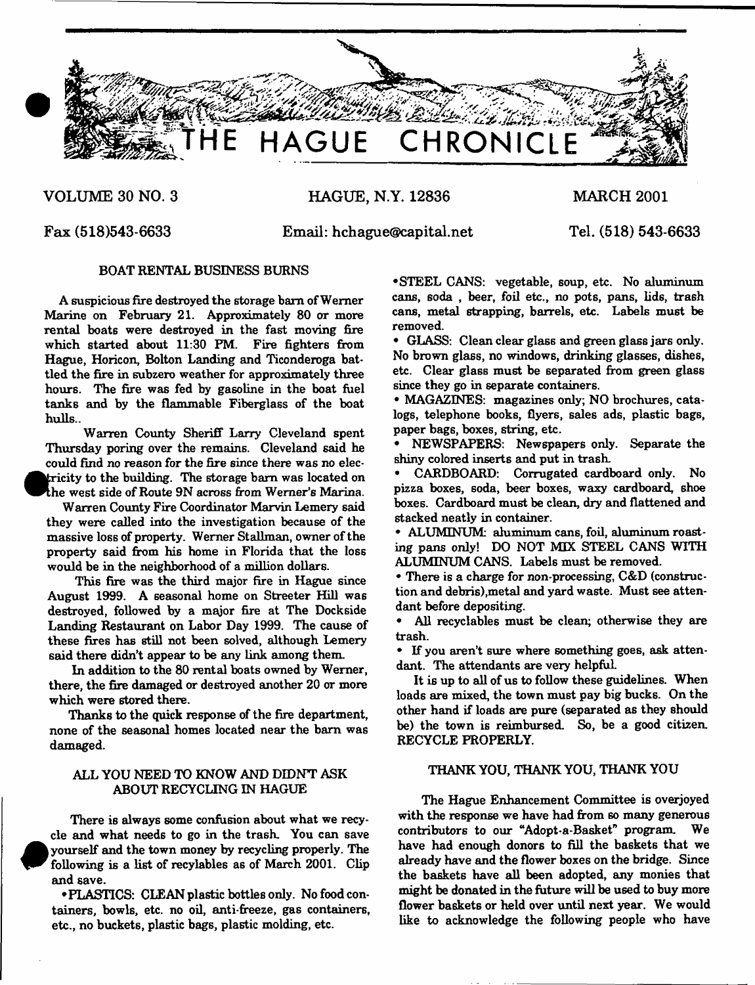

**VOLUME 30 NO. 3**

**HAGUE, N.Y. 12836**

# **MARCH 2001**

**Fax (518)543-6633**

**Email: [hchague@capital.net](mailto:hchague@capital.net)**

**Tel. (518) 543-6633**

# BOAT RENTAL BUSINESS BURNS

A suspicious fire destroyed the storage barn of Werner Marine on February 21. Approximately 80 or more rental boats were destroyed in the fast moving fire which started about 11:30 FM. Fire fighters from Hague, Horicon, Bolton Landing and Ticonderoga battled the fire in subzero weather for approximately three hours. The fire was fed by gasoline in the boat fuel tanks and by the flammable Fiberglass of the boat hulls..

The west side of Route 9N across from Werner's Marina. Warren County Sheriff Larry Cleveland spent Thursday poring over the remains. Cleveland said he could find no reason for the fire since there was no electricity to the building. The storage barn was located on

W arren County Fire Coordinator Marvin Lemery said they were called into the investigation because of the massive loss of property. Werner Stallman, owner of the property said from his home in Florida that the loss would be in the neighborhood of a million dollars.

This fire was the third major fire in Hague since August 1999. A seasonal home on Streeter Hill was destroyed, followed by a major fire at The Dockside Landing Restaurant on Labor Day 1999. The cause of these fires has still not been solved, although Lemery said there didn't appear to be any link among them.

In addition to the 80 rental boats owned by Werner, there, the fire damaged or destroyed another 20 or more which were stored there.

Thanks to the quick response of the fire department, none of the seasonal homes located near the bam was damaged.

#### ALL YOU NEED TO KNOW AND DIDN'T ASK ABOUT RECYCLING IN HAGUE

There is always some confusion about what we recycle and w hat needs to go in the trash. You can save yourself and the town money by recycling properly. The following is a list of recylables as of March 2001. Clip and save.

**#**

•PLASTICS: CLEAN plastic bottles only. No food containers, bowls, etc. no oil, anti-freeze, gas containers, etc., no buckets, plastic bags, plastic molding, etc.

•STEEL CANS: vegetable, soup, etc. No aluminum cans, soda , beer, foil etc., no pots, pans, lids, trash cans, metal strapping, barrels, etc. Labels must be removed.

• GLASS: Clean clear glass and green glass jars only. No brown glass, no windows, drinking glasses, dishes, etc. Clear glass must be separated from green glass since they go in separate containers.

• MAGAZINES: magazines only; NO brochures, catalogs, telephone books, flyers, sales ads, plastic bags, paper bags, boxes, string, etc.

• NEWSPAPERS: Newspapers only. Separate the shiny colored inserts and put in trash.

• CARDBOARD: Corrugated cardboard only. No pizza boxes, soda, beer boxes, waxy cardboard, shoe boxes. Cardboard must be clean, dry and flattened and stacked neatly in container.

• ALUMINUM: aluminum cans, foil, aluminum roasting pans only! DO NOT MIX STEEL CANS WITH ALUMINUM CANS. Labels must be removed.

• There is a charge for non-processing, C&D (construction and debris), metal and yard waste. Must see attendant before depositing.

• All recyclables must be clean; otherwise they are trash.

• If you aren't sure where something goes, ask atten dant. The attendants are very helpfuL

It is up to all of us to follow these guidelines. When loads are mixed, the town must pay big bucks. On the other hand if loads are pure (separated as they should be) the town is reimbursed. So, be a good citizen. RECYCLE PROPERLY.

### THANK YOU, THANK YOU, THANK YOU

The Hague Enhancement Committee is overjoyed with the response we have had from so many generous contributors to our "Adopt-a-Basket" program. We have had enough donors to fill the baskets that we already have and the flower boxes on the bridge. Since the baskets have all been adopted, any monies that might be donated in the future will be used to buy more flower baskets or held over until next year. We would like to acknowledge the following people who have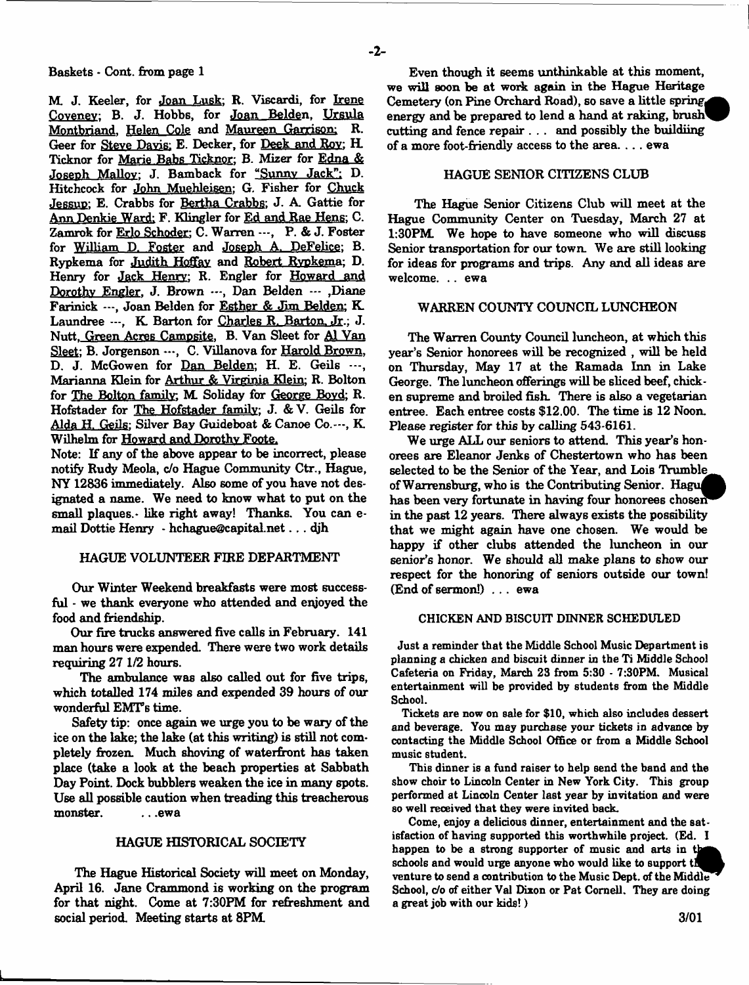Baskets - Cont. from page 1

M J. Keeler, for Joan Lusk: R. Viscardi, for Irene Coveney; B. J. Hobbs, for Joan Belden. Ursula Montbriand. Helen Cole and Maureen Garrison: R. Geer for Steve Davis: E. Decker, for Deek and Roy: H. Ticknor for Marie Babs Ticknor: B. Mizer for Edna & Joseph Malloy; J. Bamback for "Sunny Jack": D. Hitchcock for John Muehleisen; G. Fisher for Chuck Jessun: E. Crabbs for Bertha Crabbs: J. A. Gattie for Ann Denkie Ward: F. Klingler for Ed and Rae Hens: C. Zamrok for Erlo Schoder: C. Warren —, P. & J. Foster for William D. Foster and Joseph A. DeFelice; B. Rypkema for Judith Hoffav and Robert Rypkgma; D. Henry for Jack Henry; R. Engler for Howard and Dorothy Engler. J. Brown —, Dan Belden — ,Diane Farinick …, Joan Belden for Esther & Jim Belden; K. Laundree ..., K. Barton for Charles R. Barton, Jr.: J. Nutt, Green Acres Campsite, B. Van Sleet for Al Van Sleet: B. Jorgenson ..., C. Villanova for Harold Brown. D. J. McGowen for Dan Belden; H. E. Geils ..., Marianna Klein for Arthur & Virginia Klein; R. Bolton for The Bolton family: M Soliday for George Bovd: R. Hofstader for The Hofstader family; J. & V. Geils for Alda H. Geils: Silver Bay Guideboat & Canoe Co.—, K Wilhelm for Howard and Dorothy Foote.

Note: If any of the above appear to be incorrect, please notify Rudy Meola, *do* Hague Community Ctr., Hague, NY 12836 immediately. Also some of you have not designated a name. We need to know what to put on the small plaques. like right away! Thanks. You can email Dottie Henry - hchague@capital.net...djh

#### HAGUE VOLUNTEER FIRE DEPARTMENT

Our Winter Weekend breakfasts were most successful - we thank everyone who attended and enjoyed the food and friendship.

Our fire trucks answered five calls in February. 141 man hours were expended. There were two work details requiring 27 1/2 hours.

The ambulance was also called out for five trips, which totalled 174 miles and expended 39 hours of our wonderful EMT's time.

Safety tip: once again we urge you to be wary of the ice on the lake; the lake (at this writing) is still not completely frozen. Much shoving of waterfront has taken place (take a look at the beach properties at Sabbath Day Point. Dock bubblers weaken the ice in many spots. Use all possible caution when treading this treacherous monster. ... ewa

#### HAGUE HISTORICAL SOCIETY

The Hague Historical Society will meet on Monday, April 16. Jane Crammond is working on the program for that night. Come at 7:30PM for refreshment and social period. Meeting starts at 8PM

Even though it seems unthinkable at this moment, we will soon be at work again in the Hague Heritage Cemetery (on Pine Orchard Road), so save a little springg energy and be prepared to lend a hand at raking, brush cutting and fence repair . . . and possibly the buildiing of a more foot-friendly access to the area. . . . ewa

#### HAGUE SENIOR CITIZENS CLUB

The Hague Senior Citizens Club will meet at the Hague Community Center on Tuesday, March 27 at 1:30PM We hope to have someone who will discuss Senior transportation for our town. We are still looking for ideas for programs and trips. Any and all ideas are welcome. .. ewa

#### WARREN COUNTY COUNCIL LUNCHEON

The Warren County Council luncheon, at which this year's Senior honorees will be recognized, will be held on Thursday, May 17 at the Ramada Inn in Lake George. The luncheon offerings will be sliced beef, chicken supreme and broiled fish. There is also a vegetarian entree. Each entree costs  $$12.00$ . The time is 12 Noon. Please register for this by calling 543-6161.

We urge ALL our seniors to attend. This year's honorees are Eleanor Jenks of Chestertown who has been selected to be the Senior of the Year, and Lois Trumble of Warrensburg, who is the Contributing Senior. Hagu has been very fortunate in having four honorees chosen in the past 12 years. There always exists the possibility that we might again have one chosen. We would be happy if other clubs attended the luncheon in our senior's honor. We should all make plans to show our respect for the honoring of seniors outside our town! (End of sermon!) . .. ewa

#### CHICKEN AND BISCUIT DINNER SCHEDULED

Just a reminder that the Middle School Music Department is planning a chicken and biscuit dinner in the Ti Middle School Cafeteria on Friday, March 23 from 5:30 - 7:30PM. Musical entertainment will be provided by students from the Middle School.

Tickets are now on sale for \$10, which also includes dessert and beverage. You may purchase your tickets in advance by contacting the Middle School Office or from a Middle School music student.

This dinner is a fund raiser to help send the band and the show choir to Lincoln Center in New York City. This group performed at Lincoln Center last year by invitation and were so well received that they were invited back.

Come, enjoy a delicious dinner, entertainment and the satisfaction of having supported this worthwhile project. (Ed. I happen to be a strong supporter of music and arts in the schools and would urge anyone who would like to support the schools and would urge anyone who would like to support the venture to send a contribution to the Music Dept, of the Middle School, *do* of either Val Dixon or Pat Cornell. They are doing a great job with our kids!)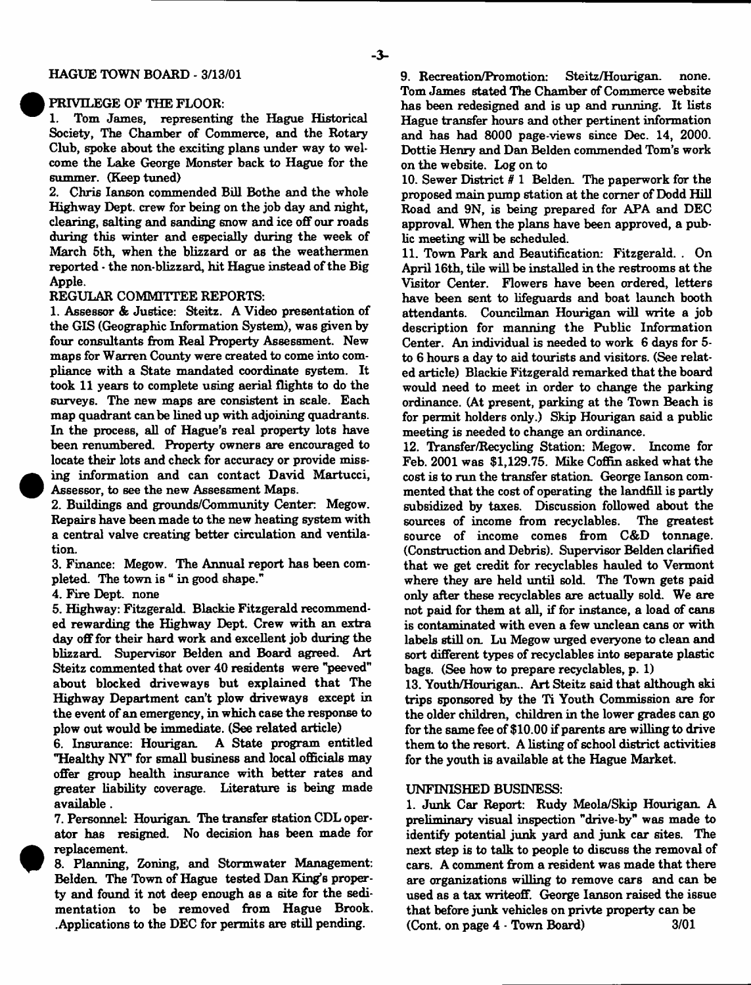#### PRIVILEGE OF THE FLOOR:

1. Tom James, representing the Hague Historical Society, The Chamber of Commerce, and the Rotary Club, spoke about the exciting plans under way to welcome the Lake George Monster back to Hague for the summer. (Keep tuned)

2. Chris Ianson commended Bill Bothe and the whole Highway Dept, crew for being on the job day and night, clearing, salting and sanding snow and ice off our roads during this winter and especially during the week of March 5th, when the blizzard or as the weathermen reported · the non-blizzard, hit Hague instead of the Big Apple.

#### REGULAR COMMITTEE REPORTS:

1. Assessor & Justice: Steitz. A Video presentation of the GIS (Geographic Information System), was given by four consultants from Real Property Assessment. New maps for Warren County were created to come into compliance with a State mandated coordinate system. It took 11 years to complete using aerial flights to do the surveys. The new maps are consistent in scale. Each map quadrant can be lined up with adjoining quadrants. In the process, all of Hague's real property lots have been renumbered. Property owners are encouraged to locate their lots and check for accuracy or provide missing information and can contact David Martucci, Assessor, to see the new Assessment Maps.

2. Buildings and grounds/Community Center: Megow. Repairs have been made to the new heating system with a central valve creating better circulation and ventilation.

3. Finance: Megow. The Annual report has been completed. The town is " in good shape."

4. Fire Dept, none

5. Highway: Fitzgerald. Blackie Fitzgerald recommended rewarding the Highway Dept. Crew with an extra day off for their hard work and excellent job during the blizzard. Supervisor Belden and Board agreed. Art Steitz commented that over 40 residents were "peeved" about blocked driveways but explained that The Highway Department can't plow driveways except in the event of an emergency, in which case the response to plow out would be immediate. (See related article)

6. Insurance: Hourigan. A State program entitled "Healthy NY" for small business and local officials may offer group health insurance with better rates and greater liability coverage. Literature is being made available .

7. Personnel: Hourigan. The transfer station CDL operator has resigned. No decision has been made for replacement.

8. Planning, Zoning, and Stormwater Management: Belden. The Town of Hague tested Dan King's property and found it not deep enough as a site for the sedimentation to be removed from Hague Brook. . Applications to the DEC for permits are still pending.

9. Recreation/Promotion: Steitz/Hourigan. none. Tom James stated The Chamber of Commerce website has been redesigned and is up and running. It lists Hague transfer hours and other pertinent information and has had 8000 page-views since Dec. 14, 2000. Dottie Henry and Dan Belden commended Tom's work on the website. Log on to

10. Sewer District # 1 Belden. The paperwork for the proposed main pump station at the corner of Dodd Hill Road and 9N, is being prepared for APA and DEC approval. When the plans have been approved, a public meeting will be scheduled.

11. Town Park and Beautification: Fitzgerald. . On April 16th, tile will be installed in the restrooms at the Visitor Center. Flowers have been ordered, letters have been sent to lifeguards and boat launch booth attendants. Councilman Hourigan will write a job description for manning the Public Information Center. An individual is needed to work 6 days for 5 to 6 hours a day to aid tourists and visitors. (See related article) Blackie Fitzgerald remarked that the board would need to meet in order to change the parking ordinance. (At present, parking at the Town Beach is for perm it holders only.) Skip Hourigan said a public meeting is needed to change an ordinance.

12. Transfer/Recycling Station: Megow. Income for Feb. 2001 was \$1,129.75. Mike Coffin asked what the cost is to run the transfer station. George Ianson commented that the cost of operating the landfill is partly subsidized by taxes. Discussion followed about the sources of income from recyclables. The greatest sources of income from recyclables. source of income comes from C&D tonnage. (Construction and Debris). Supervisor Belden clarified that we get credit for recyclables hauled to Vermont where they are held until sold. The Town gets paid only after these recyclables are actually sold. We are not paid for them at all, if for instance, a load of cans is contaminated with even a few unclean cans or with labels still on Lu Megow urged everyone to clean and sort different types of recyclables into separate plastic bagB. (See how to prepare recyclables, p. 1)

13. Youth/Hourigan.. Art Steitz said that although ski trips sponsored by the Ti Youth Commission are for the older children, children in the lower grades can go for the same fee of \$10.00 if parents are willing to drive them to the resort. A listing of school district activities for the youth is available at the Hague Market.

#### UNFINISHED BUSINESS:

1. Junk Car Report: Rudy Meola/Skip Hourigan. A preliminary visual inspection "drive-by" was made to identify potential junk yard and junk car sites. The next step is to talk to people to discuss the removal of cars. A comment from a resident was made that there are organizations willing to remove cars and can be used as a tax writeoff. George Ianson raised the issue that before junk vehicles on privte property can be (Cont. on page 4 - Town Board) 3/01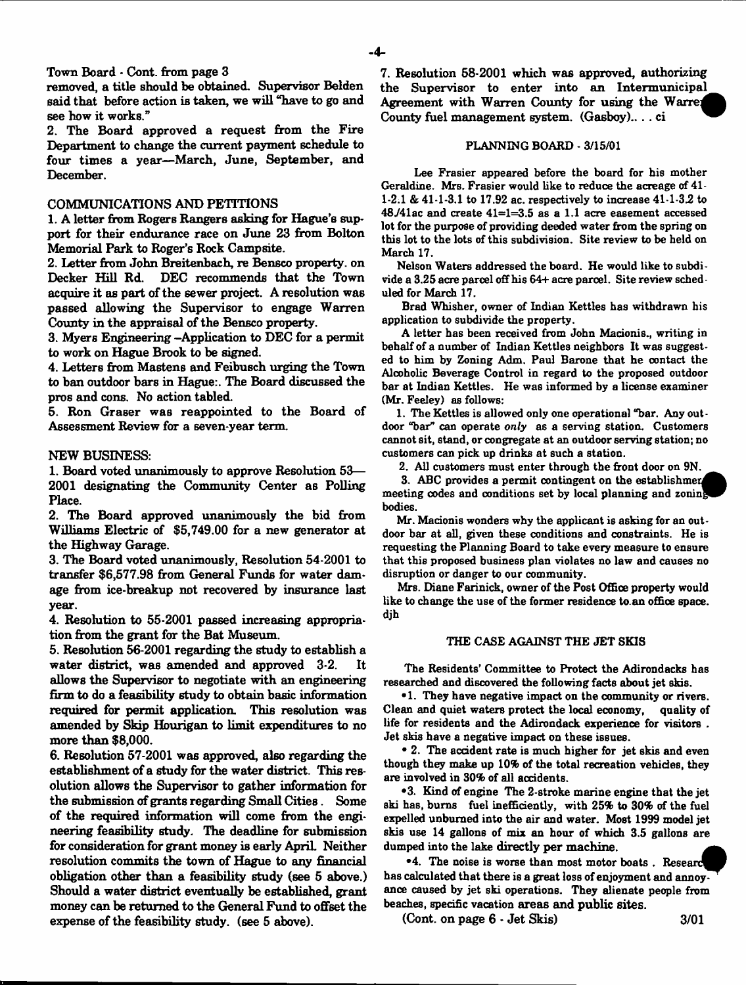Town Board - Cont. from page 3

removed, a title should be obtained. Supervisor Belden said that before action is taken, we will "have to go and see how it works."

2. The Board approved a request from the Fire Department to change the current payment schedule to four times a year--March, June, September, and December.

#### COMMUNICATIONS AND PETITIONS

1. A letter from Rogers Rangers asking for Hague's support for their endurance race on June 23 from Bolton Memorial Park to Roger's Rock Campsite.

2. Letter from John Breitenbach, re Bensco property, on Decker Hill Rd. DEC recommends that the Town acquire it as part of the sewer project. A resolution was passed allowing the Supervisor to engage Warren County in the appraisal of the Bensco property.

3. Myers Engineering -Application to DEC for a permit to work on Hague Brook to be signed.

4. Letters from Mastens and Feibusch urging the Town to ban outdoor bars in Hague:. The Board discussed the pros and cons. No action tabled.

5. Ron Graser was reappointed to the Board of Assessment Review for a seven-year term.

#### NEW BUSINESS:

1. Board voted unanimously to approve Resolution 53— 2001 designating the Community Center as Polling Place.

2. The Board approved unanimously the bid from Williams Electric of \$5,749.00 for a new generator at the Highway Garage.

3. The Board voted unanimously, Resolution 54-2001 to transfer \$6,577.98 from General Funds for water damage from ice-breakup not recovered by insurance last year.

4. Resolution to 55-2001 passed increasing appropriation from the grant for the Bat Museum.

5. Resolution 56-2001 regarding the study to establish a water district, was amended and approved 3-2. It allows the Supervisor to negotiate with an engineering firm to do a feasibility study to obtain basic information required for permit application. This resolution was amended by Skip Hourigan to limit expenditures to no more than \$8,000.

6. Resolution 57-2001 was approved, also regarding the establishment of a study for the water district. This resolution allows the Supervisor to gather information for the submission of grants regarding Small Cities. Some of the required information will come from the engineering feasibility study. The deadline for submission for consideration for grant money is early April. Neither resolution commits the town of Hague to any financial obligation other than a feasibility study (see 5 above.) Should a water district eventually be established, grant money can be returned to the General Fund to offset the expense of the feasibility study, (see 5 above).

7. Resolution 58-2001 which was approved, authorizing the Supervisor to enter into an Intermunicipal Agreement with Warren County for using the Warrej County fuel management system. (Gasboy).... ci

#### PLANNING BOARD - 3/15/01

Lee Frasier appeared before the board for his mother Geraldine. Mrs. Frasier would like to reduce the acreage of 41- 1-2.1 & 41-1-3.1 to 17.92 ac. respectively to increase 41-1-32 to  $48/41$ ac and create  $41=1=3.5$  as a 1.1 acre easement accessed lot for the purpose of providing deeded water from the spring on this lot to the lots of this subdivision. Site review to be held on March 17.

Nelson Waters addressed the board. He would like to subdivide a 3.25 acre parcel off his 64+ acre parcel. Site review scheduled for March 17.

Brad Whisher, owner of Indian Kettles has withdrawn his application to subdivide the property.

A letter has been received from John Macionis., writing in behalf of a number of Indian Kettles neighbors It was suggested to him by Zoning Adm. Paul Barone that he contact the Alcoholic Beverage Control in regard to the proposed outdoor bar at Indian Kettles. He was informed by a license examiner (Mr. Feeley) as follows:

1. The Kettles is allowed only one operational "bar. Any outdoor "bar" can operate *only* as a serving station. Customers cannot sit, stand, or congregate at an outdoor serving station; no customers can pick up drinks at such a station.

2. All customers must enter through the front door on 9N.

3. ABC provides a permit contingent on the establishmer. meeting codes and conditions set by local planning and zoning bodies.

Mr. Macionis wonders why the applicant is asking for an outdoor bar at all, given these conditions and constraints. He is requesting the Planning Board to take every measure to ensure that this proposed business plan violates no law and causes no disruption or danger to our community.

Mrs. Diane Farinick, owner of the Post Office property would like to change the use of the former residence to an office space, djh

#### THE CASE AGAINST THE JET SKIS

The Residents' Committee to Protect the Adirondacks has researched and discovered the following facts about jet skis.

\*1. They have negative impact on the community or rivers. Clean and quiet waters protect the local economy, quality of life for residents and the Adirondack experience for visitors . Jet skis have a negative impact on these issues.

\* 2. The acddent rate is much higher for jet skis and even though they make up 10% of the total recreation vehides, they are involved in 30% of all accidents.

•3. Kind of engine The 2-stroke marine engine that the jet ski has, burns fuel inefficiently, with 25% to 30% of the fuel expelled unburaed into the air and water. Most 1999 model jet skis use 14 gallons of mix an hour of which 3.5 gallons are dumped into the lake directly per machine.

\*4. The noise is worse than most motor boats. Researc has calculated that there is a great loss of enjoyment and annoyance caused by jet ski operations. They alienate people from beaches, specific vacation areas and public sites.

 $(Cont. on page 6 - Jet Skis)$  3/01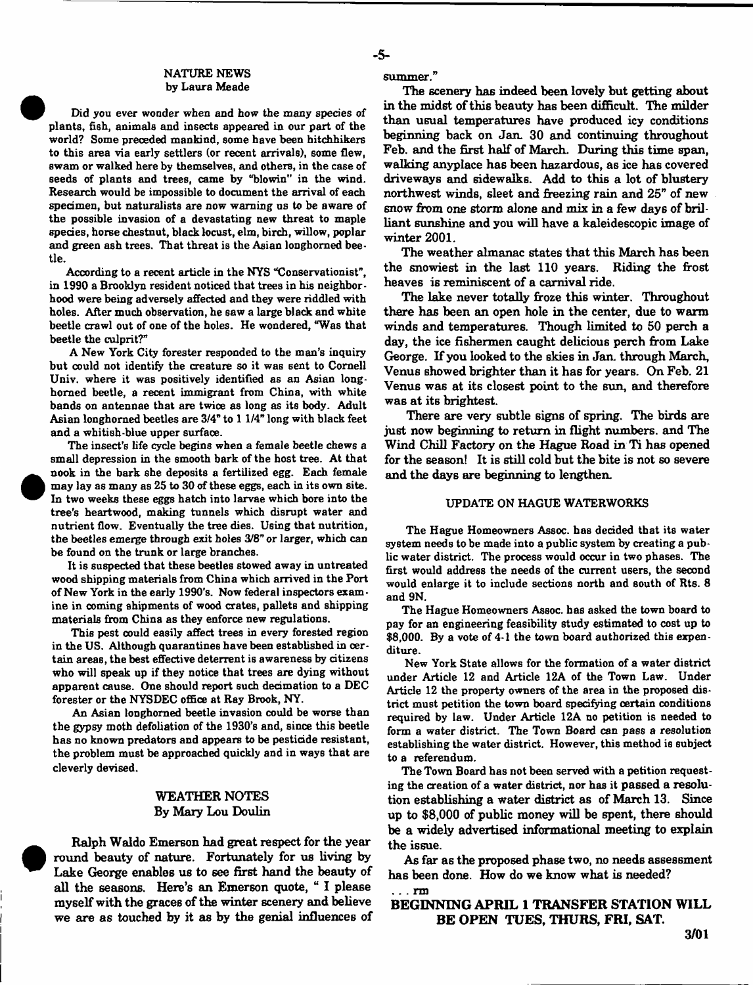#### NATURE NEWS by Laura Meade

Did you ever wonder when and how the many species of plants, fish, animals and insects appeared in our part of the world? Some preceded mankind, some have been hitchhikers to this area via early settlers (or recent arrivals), some flew, swam or walked here by themselves, and others, in the case of seeds of plants and trees, came by "blowin" in the wind. Research would be impossible to document the arrival of each specimen, but naturalists are now warning us to be aware of the possible invasion of a devastating new threat to maple species, horse chestnut, black locust, elm, birch, willow, poplar and green ash trees. That threat is the Asian longhomed beetle.

According to a recent article in the NYS "Conservationist", in 1990 a Brooklyn resident noticed that trees in his neighborhood were being adversely affected and they were riddled with holes. After much observation, he saw a large black and white beetle crawl out of one of the holes. He wondered, "Was that beetle the culprit?"

A New York City forester responded to the man's inquiry but could not identify the creature so it was sent to Cornell Univ. where it was positively identified as an Asian longhorned beetle, a recent immigrant from China, with white bands on antennae that are twice as long as its body. Adult Asian longhomed beetles are 3/4" to 1 1/4" long with black feet and a whitish-blue upper surface.

The insect's life cycle begins when a female beetle chews a small depression in the smooth bark of the host tree. At that nook in the bark she deposits a fertilized egg. Each female may lay as many as 25 to 30 of these eggs, each in its own site. In two weeks these eggs hatch into larvae which bore into the tree's he art wood, making tunnels which disrupt water and nutrient flow. Eventually the tree dies. Using that nutrition, the beetles *emerge* through exit holes *3/8*" or larger, which can be found on the trunk or large branches.

It is suspected that these beetles stowed away in untreated wood shipping materials from China which arrived in the Port of New York in the early 1990's. Now federal inspectors examine in coming shipments of wood crates, pallets and shipping materials from China as they enforce new regulations.

This pest could easily affect trees in every forested region in the US. Although quarantines have been established in oertain areas, the best effective deterrent is awareness by citizens who will speak up if they notice that trees are dying without apparent cause. One should report such decimation to a DEC forester or the NYSDEC office at Ray Brook, NY.

An Asian longhomed beetle invasion could be worse than the gypsy moth defoliation of the 1930's and, since this beetle has no known predators and appears to be pesticide resistant, the problem must be approached quickly and in ways that are cleverly devised.

#### WEATHER NOTES By Mary Lou Doulin

Ralph Waldo Emerson had great respect for the year round beauty of nature. Fortunately for us living by Lake George enables us to see first hand the beauty of all the seasons. Here's an Emerson quote, " 1 please myself with the graces of the winter scenery and believe we are as touched by it as by the genial influences of summer."

 $-5-$ 

The scenery has indeed been lovely but getting about in the midst of this beauty has been difficult. The milder than usual temperatures have produced icy conditions beginning back on Jan. 30 and continuing throughout Feb. and the first half of March. During this time span, walking anyplace has been hazardous, as ice has covered driveways and sidewalks. Add to this a lot of blustery northwest winds, sleet and freezing rain and 25" of new snow from one storm alone and mix in a few days of brilliant sunshine and you will have a kaleidescopic image of winter 2001.

The weather almanac states that this March has been the snowiest in the last 110 years. Riding the frost heaves is reminiscent of a carnival ride.

The lake never totally froze this winter. Throughout there has been an open hole in the center, due to warm winds and temperatures. Though limited to 50 perch a day, the ice fishermen caught delicious perch from Lake George. If you looked to the skies in Jan. through March, Venus showed brighter than it has for years. On Feb. 21 Venus was at its closest point to the sun, and therefore was at its brightest.

There are very subtle signs of spring. The birds are just now beginning to return in flight numbers, and The Wind Chill Factory on the Hague Road in Ti has opened for the season! It is still cold but the bite is not so severe and the days are beginning to lengthen.

#### UPDATE ON HAGUE WATERWORKS

The Hague Homeowners Assoc, has decided that its water system needs to be made into a public system by creating a public water district. The process would occur in two phases. The first would address the needs of the current users, the second would enlarge it to include sections north and south of Rts. 8 and 9N.

The Hague Homeowners Assoc, has asked the town board to pay for an engineering feasibility study estimated to cost up to \$8,000. By a vote of 4-1 the town board authorized this expenditure.

New York State allows for the formation of a water district under Article 12 and Article 12A of the Town Law. Under Article 12 the property owners of the area in the proposed district must petition the town board specifying certain conditions required by law. Under Article 12A no petition is needed to form a water district. The Town Board can pass a resolution establishing the water district. However, this method is subject to a referendum.

The Town Board has not been served with a petition requesting the creation of a water district, nor has it passed a resolution establishing a water district as of March 13. Since up to \$8,000 of public money will be spent, there should be a widely advertised informational meeting to explain the issue.

As far as the proposed phase two, no needs assessment has been done. How do we know what is needed? ... rm

# BEGINNING APRIL 1 TRANSFER STATION WILL BE OPEN TUES, THURS, FRI, SAT.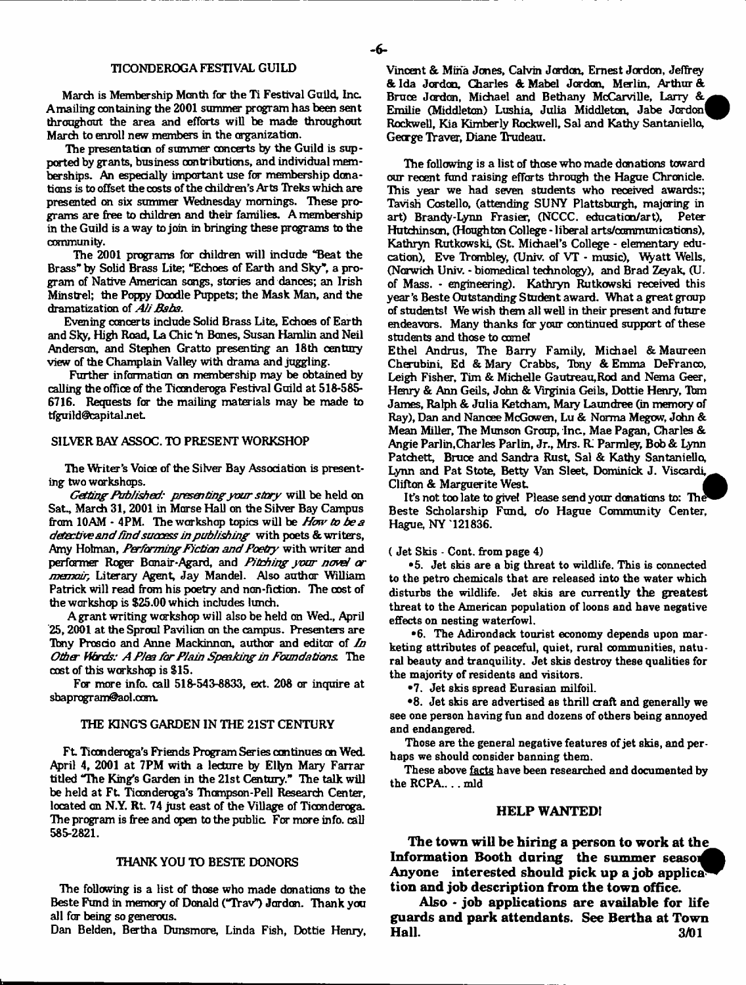#### TICONDEROGA FESTIVAL GUILD

March is Membership Mcnth for the Ti Festival Guild, Inc. A mailing containing the 2001 summer program has been sent throughout the area and efforts will be made throughout March to enroll new members in the organization.

The presentation of summer concerts by the Guild is supported by grants, business contributions, and individual memberships. An especially important use for membership donations is to offset the costs of the children's Arts Treks which are presented on six summer Wednesday mornings. These programs are free to children and their families. A membership in the Guild is away to join in bringing these programs to the community.

The 2001 programs for children will indude "Beat the Brass" by Solid Brass Lite; "Echoes of Earth and Sky", a program of Native American songs, stories and dances; an Irish Minstrel; the Poppy Doodle Puppets; the Mask Man, and the dramatization of *A/i Bsba.*

Evening concerts indude Solid Brass Lite, Echoes of Earth and Sky, High Road, La Chic \*n Banes, Susan Hamlin and Neil Anderson, and Stephen Gratto presenting an 18th century view of the Champlain Valley with drama and juggling.

Further information on membership may be obtained by calling the office of the Ticonderoga Festival Guild at 518-585-6716. Requests for the mailing materials may be made to [tfguild@capital.net.](mailto:tfguild@capital.net)

#### SILVER BAY ASSOC. TO PRESENT WORKSHOP

The Writer's Voice of the Silver Bay Assodation is presenting two workshops.

*Getting Published: presenting your story* will be held on Sat., March 31, 2001 in Morse Hall on the Silver Bay Campus from 10AM - 4PM. The workshop topics will be *Hon\* to be a defective and find success in publishing* with poets & writers, Amy Holman, *Performing Fiction and Poetry* with writer and performer Roger Banair-Agard, and *Pitching jvnr novel or memoir*, Literary Agent, Jay Mandel. Also author William Patrick will read from his poetry and non-fiction. The cost of the workshop is \$25.00 which includes lunch.

A grant writing workshop will also be held an Wed., April 25,2001 at the Sproul Pavilion an the campus. Presenters are Tony Proscio and Anne Mackinnon, author and editor of In *Otto\* Wbrds: A Plea for Plain Speaking in Foundations* The cost of this workshop is \$15.

For more info, call 518-543-8833, ext. 208 or inquire at [sbaprcgram@aol.com.](mailto:sbaprcgram@aol.com)

#### THE KINGS GARDEN IN THE 21ST CENTURY

Ft. Ticonderoga's Friends Program Series continues on Wed. April 4, 2001 at 7PM with a lecture by Eltyn Mary Farrar titled "The King's Garden in the 21st Century." The talk will be held at Ft. Ticonderoga's Thompson-Pell Research Center, located on N.Y. Rt. 74 just east of the Village of Ticonderoga. The program is free and open to the public. For more info, call 585-2821.

#### THANK YOU TO BESTE DONORS

The following is a list of those who made donations to the Beste Fund in memory of Donald ("Trav") Jordon. Thank you all far being so generous.

Dan Belden, Bertha Dunsmore, Linda Fish, Dottie Henry,

The following is a list of those who made donations toward our recent fund raising efforts through the Hague Chronicle. This year we had seven students who received awards:; Tavish Costello, (attending SUNY Plattsburgh, majoring in art) Brandy-Lynn Frasier, (NCCC. education/art), Peter Hutchinson, (Houghton College - liberal arts/oommunications), Kathryn Rutkowski, (St. Michael's College - elementary education), Eve Trombley, (Univ. of VT - music), Wyatt Wells, (Norwich Univ. - biomedical technology), and Brad Zeyak, (U. of Mass. - engineering). Kathryn Rutkowski received this year's Beste Outstanding Student award. What a great group of students! We wish them all well in their present and future endeavors. Many thanks far your continued support of these students and those to come!

Ethel Andrus, The Barry Family, Michael & Maureen Cherubini, Ed & Mary Crabbs, Tbny & Emma DeFranco, Leigh Fisher, Tim & Michelle Gautreau, Rod and Nema Geer, Henry & Ann Geils, John & Virginia Geils, Dottie Henry, Tbm James, Ralph & Julia Ketch am, Mary Laundree (in memory of Ray), Dan and Nancee McGowen, Lu & Norma Megow, John & Mean Miller, The Munson Group, Inc, Mae Pagan, Charles & Angie Parlin, Charles Parlin, Jr., Mrs. R. Parmley, Bob & Lynn Patchett, Bruce and Sandra Rust, Sal *&* Kathy Santaniello, Lynn and Pat Stote, Betty Van Sleet, Dominick J. Viscardi,^^ Clifton & Marguerite West

It's not too late to give! Please send your donations to: The Beste Scholarship Fund, *do* Hague Community Center, Hague, NY 121836.

#### ( Jet Skis - Cont. from page 4)

•5. Jet skis are a big threat to wildlife. This is connected to the petro chemicals that are released into the water which disturbs the wildlife. Jet skis are currently the greatest threat to the American population of loons and have negative effects on nesting waterfowl.

•6. The Adirondack tourist economy depends upon marketing attributes of peaceful, quiet, rural communities, natural beauty and tranquility. Jet skis destroy these qualities for the majority of residents and visitors.

\*7. Jet skis spread Eurasian milfoil.

\*8. Jet skis are advertised aB thrill craft and generally we see one person having fun and dozens of others being annoyed and endangered.

Those are the general negative features of jet skis, and perhaps we should consider banning them.

These above facts have been researched and documented by the RCPA.... mid

#### HELP WANTED!

The town will be hiring a person to work at the Information Booth during the summer seasor Anyone interested should pick up a job applica. tion and job description from the town office.

Also  $\cdot$  job applications are available for life guards and park attendants. See Bertha at Town Hall. 3/01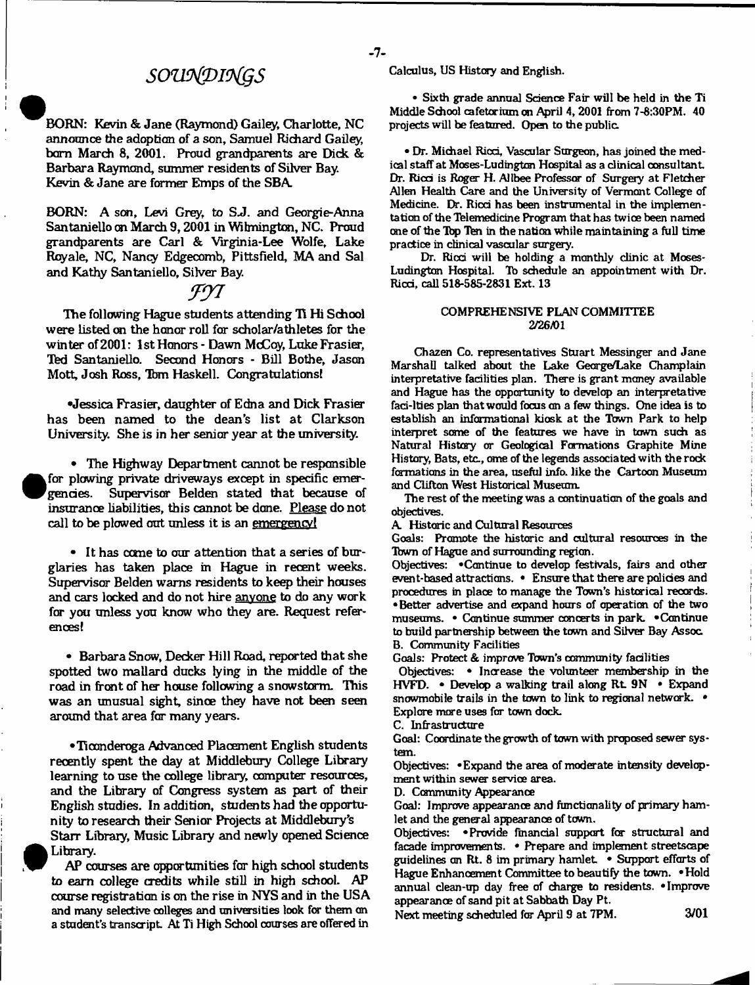# *sowgDinigs*

BORN: Kevin & Jane (Raymond) Galley, Charlotte, NC announce the adoption of a son, Samuel Richard Gailey, bam March 8, 2001. Proud grandparents are Dick & Barbara Raymond, summer residents of Silver Bay Kevin & Jane are former Emps of the SBA.

BORN: A son, Levi Grey, to S.J. and Georgie-Anna Santaniello on March 9, 2001 in Wilmington, NC. Proud grandparents are Carl & Virginia-Lee Wolfe, Lake Royale, NC, Nancy Edgecomb, Pittsfield, MA and Sal and Kathy Santaniello, Silver Bay.

# $\tau \gamma \gamma$

The following Hague students attending Ti Hi School were listed on the honor roll for scholar/athletes for the winter of 2001: 1st Honors - Dawn McCoy, Luke Frasier, Ted Santaniello. Second Honors - Bill Bothe, Jason Mott, Josh Ross, Tbm Haskell. Congratulations!

•Jessica Frasier, daughter of Edna and Dick Frasier has been named to the dean's list at Clarkson University. She is in her senior year at the university.

• The Highway Department cannot be responsible for plowing private driveways except in specific emergencies. Supervisor Belden stated that because of insurance liabilities, this cannot be done. Please do not call to be plowed ant unless it is an emergency!

• It has come to our attention that a series of burglaries has taken place in Hague in recent weeks. Supervisor Belden warns residents to keep their houses and cars locked and do not hire anyone to do any work for you unless you know who they are. Request references!

• Barbara Snow, Decker Hill Road, reported that she spotted two mallard ducks lying in the middle of the road in front of her house following a snowstorm. This was an unusual sight, since they have not been seen around that area for many years.

•Ticcnderoga Advanced Placement English students recently spent the day at Middlebury College Library learning to use the college library, computer resources, and the Library of Congress system as part of their English studies. In addition, students had the opportunity to research their Senior Projects at Middlebury's

Starr Library, Music Library and newly opened Science Library.

AP courses are opportunities for high school students to earn college credits while still in high school. AP course registration is on the rise in NYS and in the USA and many selective colleges and universities look for them on a student's transcript At Ti High School courses are offered in

Calculus, US History and English.

• Sixth grade annual Science Fair will be held in the Ti Middle Sdiool cafetorium on April 4,2001 from 7-8:30PM. 40 projects will be featured. Open to the public.

• Dr. Michael Ricci, Vascular Surgeon, has joined the medical staff at Moses-Ludington Hospital as a clinical consultant. Dr. Ricci is Roger H. Allbee Professor of Surgery at Fletcher Allen Health Care and the University of Vermont College of Medicine. Dr. Ricci has been instrumental in the implementation of the Telemedicine Program that has twice been named one of the Tbp Ten in the nation while maintaining a full time practice in clinical vascular surgery.

Dr. Ricci will be holding a monthly clinic at Moses-Ludington Hospital. To schedule an appointment with Dr. Ricci, call 518-585-2831 Ext. 13

#### COMPREHENSIVE PLAN COMMITTEE 2/26/01

Chazen Co. representatives Stuart Messinger and Jane Marshal] talked about the Lake George/Lake Champlain interpretative facilities plan. There is grant money available and Hague has the opportunity to develop an interpretative fad-lties plan that would focus an *a* few things. One idea is to establish an informational kiosk at the Town Park to help interpret some of the features we have in town such as Natural History or Geological Formations Graphite Mine History, Bats, etc., ome of the legends associated with the rock formations in the area, useful info, like the Cartoon Museum and Clifton West Historical Museum.

The rest of the meeting was a continuation of the goals and objectives.

A Historic and Cultural Resources

Goals: Promote the historic and cultural resources in the Tbwn of Hague and surrounding region.

Objectives: •Continue to develop festivals, fairs and other event-based attractions. • Ensure that there are policies and procedures in place to manage the Town's historical records. •Better advertise and expand hours of operation of the two museums. • Continue summer concerts in park. •Continue to build partnership between the town and Silver Bay Assoc. B. Community Facilities

Goals: Protect & improve Town's community facilities

Objectives: • Increase the volunteer membership in the HVFD. • Develop a walking trail along Rt.  $9N$  • Expand snowmobile trails in the town to link to regional network. • Explore mere uses for town dock.

C. Infrastructure

Goal: Coordinate the growth of town with proposed sewer system.

Objectives: "Expand the area of moderate intensity development within sewer service area.

D. Community Appearance

Goal: Improve appearance and functionality of primary hamlet and the general appearance of town.

Objectives: • Provide financial support for structural and facade improvements. • Prepare and implement streetscape guidelines an Rt. 8 im primary hamlet • Support efforts of Hague Enhancement Committee to beautify the town. . Hold annual clean-up day free of charge to residents. . Improve appearance of sand pit at Sabbath Day Pt.

Next meeting scheduled for April 9 at 7PM. 3/01